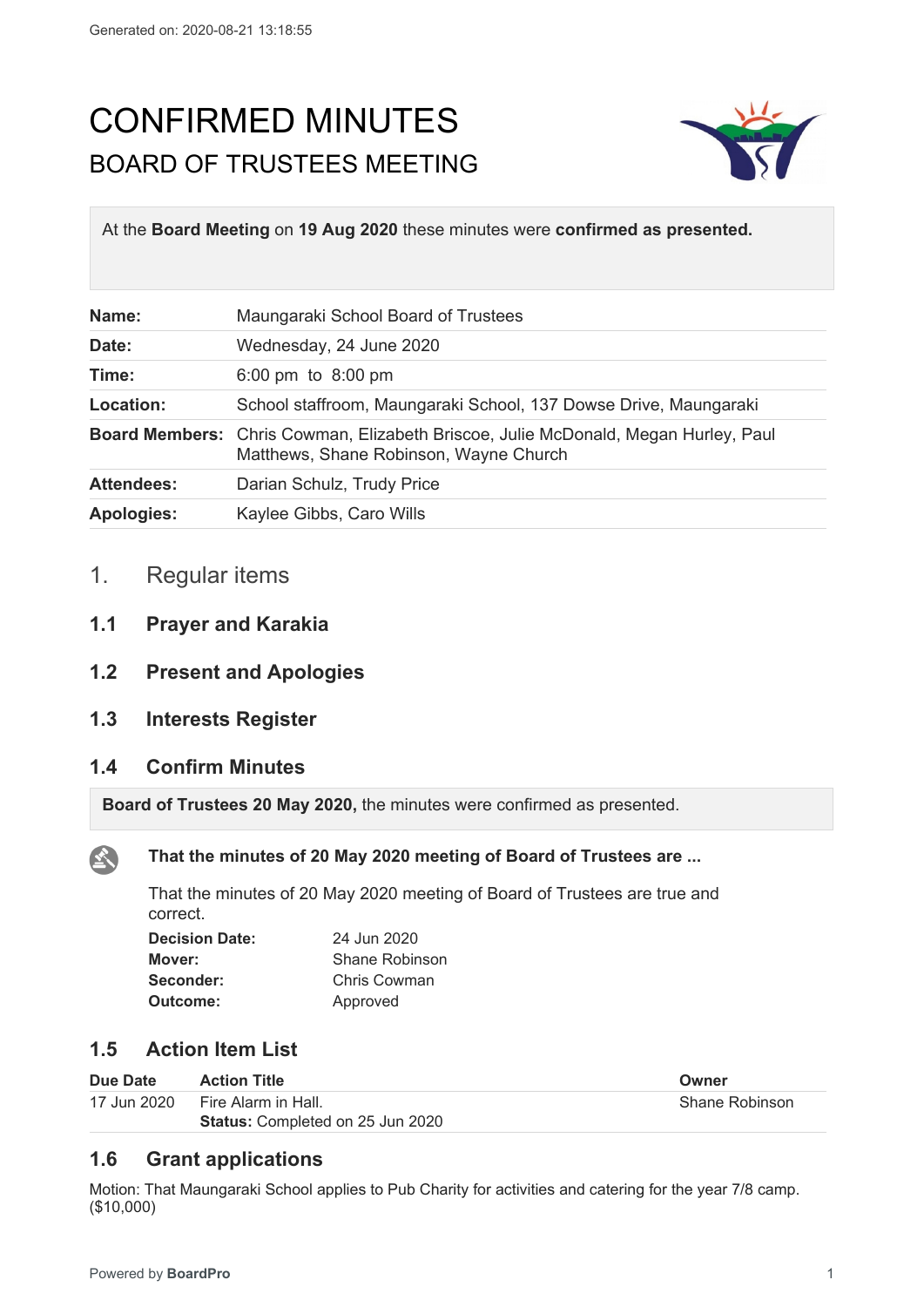# CONFIRMED MINUTES BOARD OF TRUSTEES MEETING



At the **Board Meeting** on **19 Aug 2020** these minutes were **confirmed as presented.**

| Name:             | Maungaraki School Board of Trustees                                                                                                 |
|-------------------|-------------------------------------------------------------------------------------------------------------------------------------|
| Date:             | Wednesday, 24 June 2020                                                                                                             |
| Time:             | 6:00 pm to 8:00 pm                                                                                                                  |
| Location:         | School staffroom, Maungaraki School, 137 Dowse Drive, Maungaraki                                                                    |
|                   | <b>Board Members:</b> Chris Cowman, Elizabeth Briscoe, Julie McDonald, Megan Hurley, Paul<br>Matthews, Shane Robinson, Wayne Church |
| <b>Attendees:</b> | Darian Schulz, Trudy Price                                                                                                          |
| <b>Apologies:</b> | Kaylee Gibbs, Caro Wills                                                                                                            |

# 1. Regular items

- **1.1 Prayer and Karakia**
- **1.2 Present and Apologies**
- **1.3 Interests Register**

# **1.4 Confirm Minutes**

**Board of Trustees 20 May 2020,** the minutes were confirmed as presented.

公

# **That the minutes of 20 May 2020 meeting of Board of Trustees are ...**

That the minutes of 20 May 2020 meeting of Board of Trustees are true and correct.

| <b>Decision Date:</b> | 24 Jun 2020    |  |
|-----------------------|----------------|--|
| Mover:                | Shane Robinson |  |
| Seconder:             | Chris Cowman   |  |
| Outcome:              | Approved       |  |

# **1.5 Action Item List**

| Due Date    | <b>Action Title</b>                     | Owner          |
|-------------|-----------------------------------------|----------------|
| 17 Jun 2020 | Fire Alarm in Hall.                     | Shane Robinson |
|             | <b>Status: Completed on 25 Jun 2020</b> |                |

# **1.6 Grant applications**

Motion: That Maungaraki School applies to Pub Charity for activities and catering for the year 7/8 camp. (\$10,000)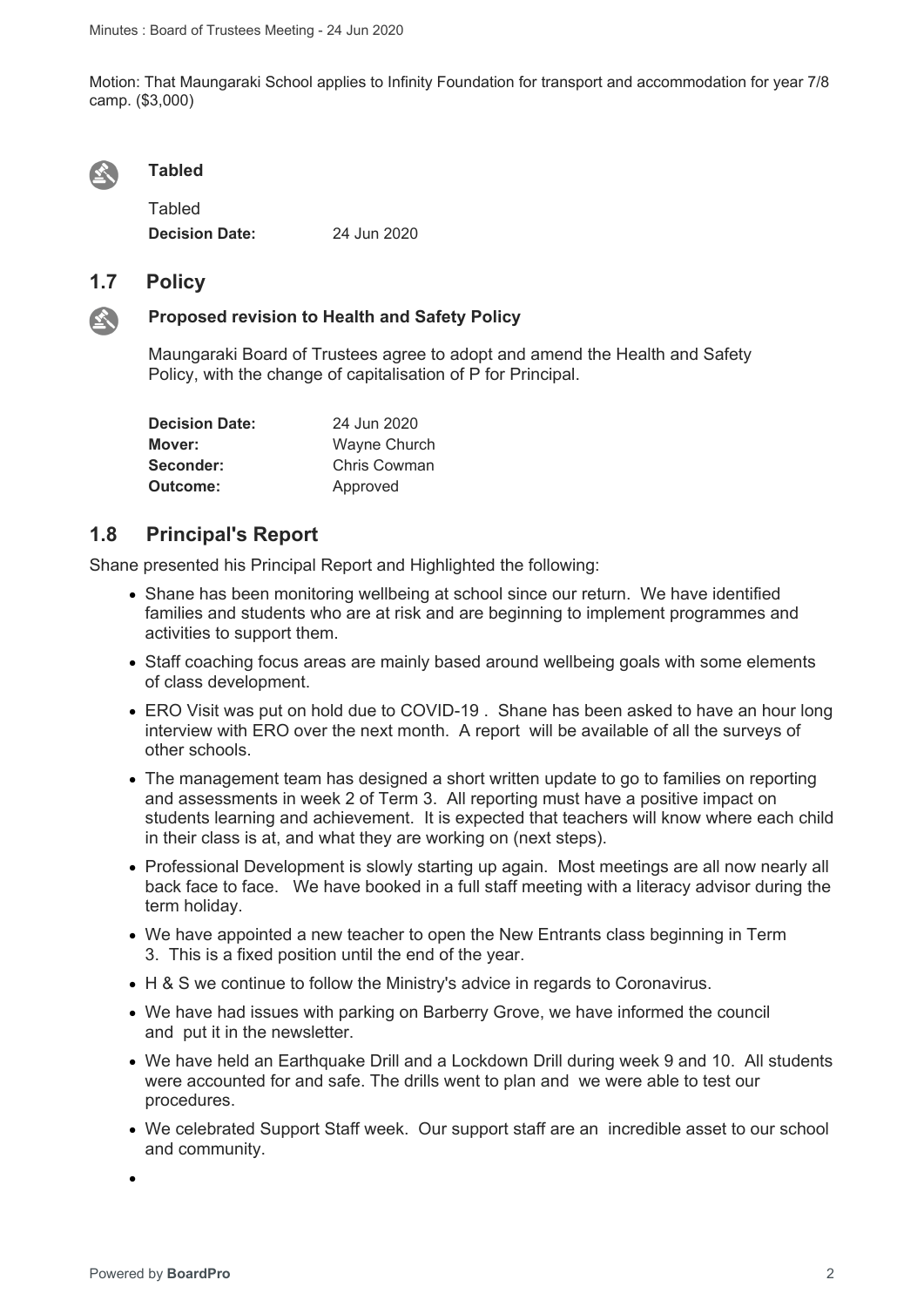Motion: That Maungaraki School applies to Infinity Foundation for transport and accommodation for year 7/8 camp. (\$3,000)



#### **Tabled**

Tabled **Decision Date:** 24 Jun 2020

# **1.7 Policy**



#### **Proposed revision to Health and Safety Policy**

Maungaraki Board of Trustees agree to adopt and amend the Health and Safety Policy, with the change of capitalisation of P for Principal.

| <b>Decision Date:</b> | 24 Jun 2020  |  |
|-----------------------|--------------|--|
| Mover:                | Wayne Church |  |
| Seconder:             | Chris Cowman |  |
| Outcome:              | Approved     |  |

## **1.8 Principal's Report**

Shane presented his Principal Report and Highlighted the following:

- Shane has been monitoring wellbeing at school since our return. We have identified families and students who are at risk and are beginning to implement programmes and activities to support them.
- Staff coaching focus areas are mainly based around wellbeing goals with some elements of class development.
- ERO Visit was put on hold due to COVID-19. Shane has been asked to have an hour long interview with ERO over the next month. A report will be available of all the surveys of other schools.
- The management team has designed a short written update to go to families on reporting and assessments in week 2 of Term 3. All reporting must have a positive impact on students learning and achievement. It is expected that teachers will know where each child in their class is at, and what they are working on (next steps).
- Professional Development is slowly starting up again. Most meetings are all now nearly all back face to face. We have booked in a full staff meeting with a literacy advisor during the term holiday.
- We have appointed a new teacher to open the New Entrants class beginning in Term 3. This is a fixed position until the end of the year.
- H & S we continue to follow the Ministry's advice in regards to Coronavirus.
- We have had issues with parking on Barberry Grove, we have informed the council and put it in the newsletter.
- We have held an Earthquake Drill and a Lockdown Drill during week 9 and 10. All students were accounted for and safe. The drills went to plan and we were able to test our procedures.
- We celebrated Support Staff week. Our support staff are an incredible asset to our school and community.

 $\bullet$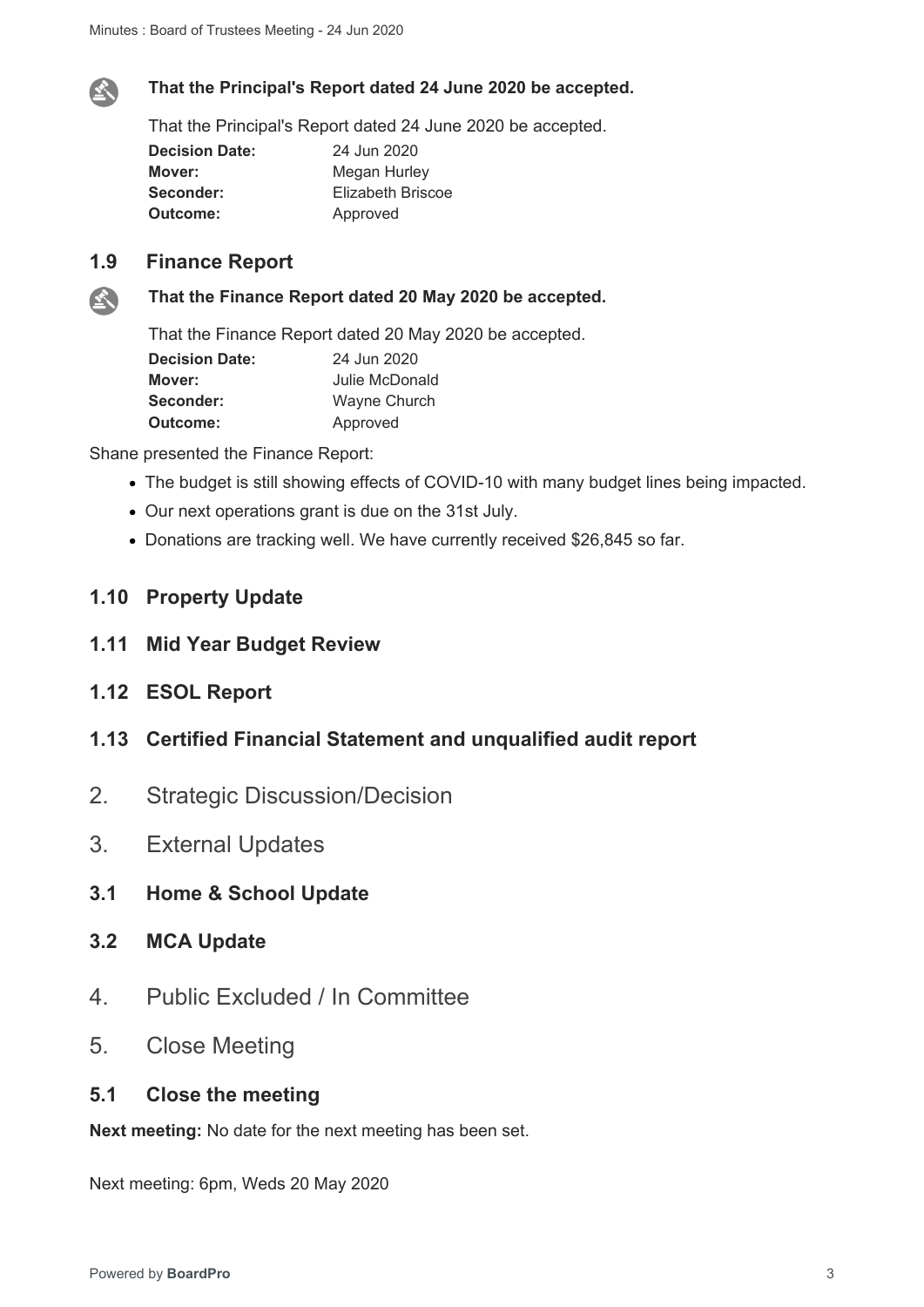

#### **That the Principal's Report dated 24 June 2020 be accepted.**

That the Principal's Report dated 24 June 2020 be accepted.

| 24 Jun 2020       |  |
|-------------------|--|
| Megan Hurley      |  |
| Elizabeth Briscoe |  |
| Approved          |  |
|                   |  |

# **1.9 Finance Report**



#### **That the Finance Report dated 20 May 2020 be accepted.**

That the Finance Report dated 20 May 2020 be accepted.

| <b>Decision Date:</b> | 24 Jun 2020    |  |
|-----------------------|----------------|--|
| Mover:                | Julie McDonald |  |
| Seconder:             | Wayne Church   |  |
| Outcome:              | Approved       |  |

Shane presented the Finance Report:

- The budget is still showing effects of COVID-10 with many budget lines being impacted.
- Our next operations grant is due on the 31st July.
- Donations are tracking well. We have currently received \$26,845 so far.

## **1.10 Property Update**

- **1.11 Mid Year Budget Review**
- **1.12 ESOL Report**
- **1.13 Certified Financial Statement and unqualified audit report**
- 2. Strategic Discussion/Decision
- 3. External Updates
- **3.1 Home & School Update**
- **3.2 MCA Update**
- 4. Public Excluded / In Committee
- 5. Close Meeting

# **5.1 Close the meeting**

**Next meeting:** No date for the next meeting has been set.

Next meeting: 6pm, Weds 20 May 2020